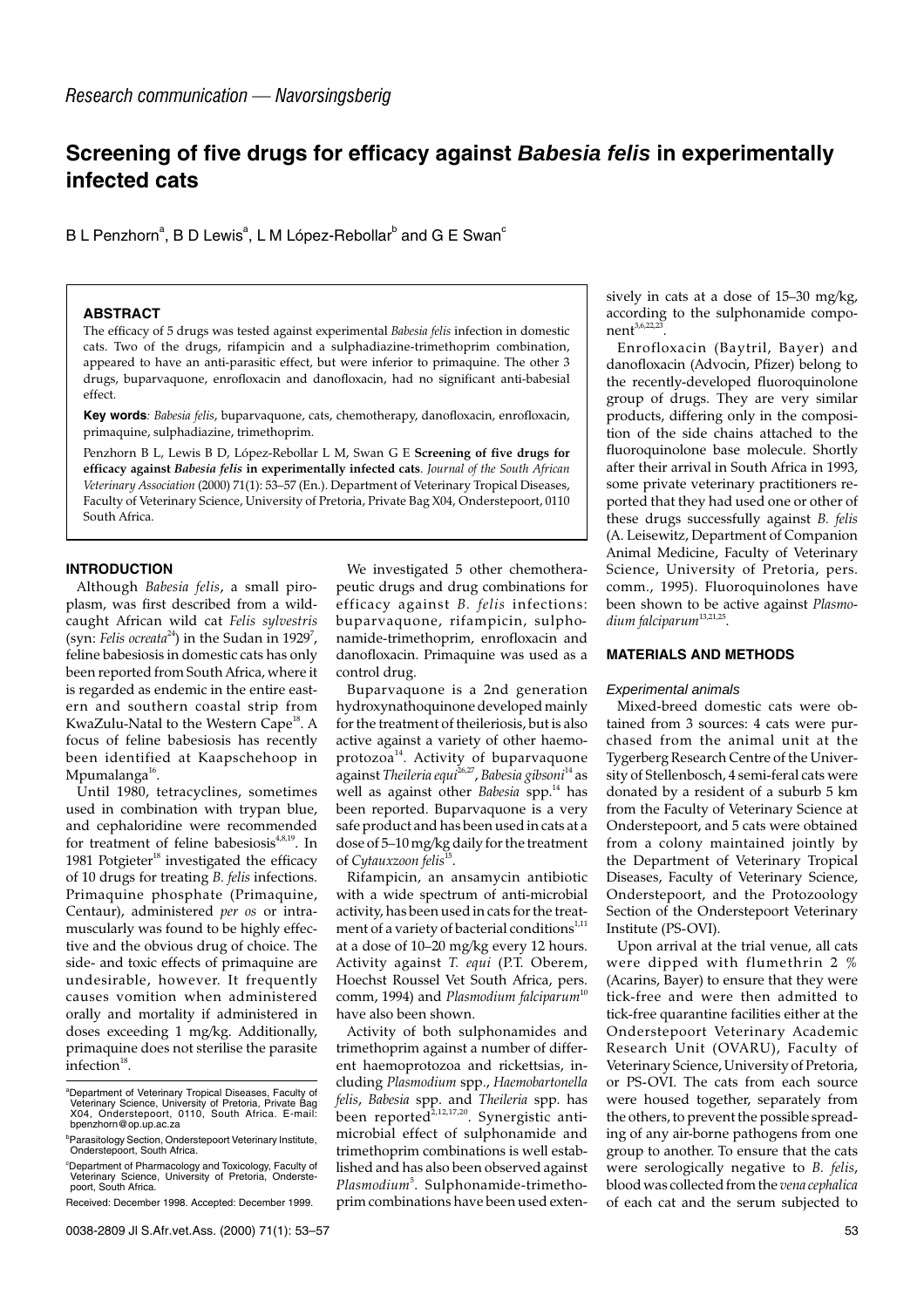# **Screening of five drugs for efficacy against Babesia felis in experimentally infected cats**

B L Penzhorn $^{\rm a}$ , B D Lewis $^{\rm a}$ , L M López-Rebollar $^{\rm b}$  and G E Swan $^{\rm c}$ 

### **ABSTRACT**

The efficacy of 5 drugs was tested against experimental *Babesia felis* infection in domestic cats. Two of the drugs, rifampicin and a sulphadiazine-trimethoprim combination, appeared to have an anti-parasitic effect, but were inferior to primaquine. The other 3 drugs, buparvaquone, enrofloxacin and danofloxacin, had no significant anti-babesial effect.

**Key words***: Babesia felis*, buparvaquone, cats, chemotherapy, danofloxacin, enrofloxacin, primaquine, sulphadiazine, trimethoprim.

Penzhorn B L, Lewis B D, López-Rebollar L M, Swan G E **Screening of five drugs for efficacy against** *Babesia felis* **in experimentally infected cats**. *Journal of the South African Veterinary Association* (2000) 71(1): 53–57 (En.). Department of Veterinary Tropical Diseases, Faculty of Veterinary Science, University of Pretoria, Private Bag X04, Onderstepoort, 0110 South Africa.

# **INTRODUCTION**

Although *Babesia felis*, a small piroplasm, was first described from a wildcaught African wild cat *Felis sylvestris* (syn: *Felis ocreata*<sup>24</sup>) in the Sudan in 1929<sup>7</sup>, feline babesiosis in domestic cats has only been reported from South Africa, where it is regarded as endemic in the entire eastern and southern coastal strip from KwaZulu-Natal to the Western Cape<sup>18</sup>. A focus of feline babesiosis has recently been identified at Kaapschehoop in Mpumalanga $^{16}$ .

Until 1980, tetracyclines, sometimes used in combination with trypan blue, and cephaloridine were recommended for treatment of feline babesiosis<sup>4,8,19</sup>. In 1981 Potgieter $18$  investigated the efficacy of 10 drugs for treating *B. felis* infections. Primaquine phosphate (Primaquine, Centaur), administered *per os* or intramuscularly was found to be highly effective and the obvious drug of choice. The side- and toxic effects of primaquine are undesirable, however. It frequently causes vomition when administered orally and mortality if administered in doses exceeding 1 mg/kg. Additionally, primaquine does not sterilise the parasite  $interior<sup>18</sup>$ .

We investigated 5 other chemotherapeutic drugs and drug combinations for efficacy against *B. felis* infections: buparvaquone, rifampicin, sulphonamide-trimethoprim, enrofloxacin and danofloxacin. Primaquine was used as a control drug.

Buparvaquone is a 2nd generation hydroxynathoquinone developed mainly for the treatment of theileriosis, but is also active against a variety of other haemoprotozoa<sup>14</sup>. Activity of buparvaquone against *Theileria equi*26,27, *Babesia gibsoni*<sup>14</sup> as well as against other *Babesia* spp.<sup>14</sup> has been reported. Buparvaquone is a very safe product and has been used in cats at a dose of 5–10 mg/kg daily for the treatment of *Cytauxzoon felis*15.

Rifampicin, an ansamycin antibiotic with a wide spectrum of anti-microbial activity, has been used in cats for the treatment of a variety of bacterial conditions $1,11$ at a dose of 10–20 mg/kg every 12 hours. Activity against *T. equi* (P.T. Oberem, Hoechst Roussel Vet South Africa, pers. comm, 1994) and *Plasmodium falciparum*<sup>10</sup> have also been shown.

Activity of both sulphonamides and trimethoprim against a number of different haemoprotozoa and rickettsias, including *Plasmodium* spp., *Haemobartonella felis*, *Babesia* spp. and *Theileria* spp. has felis, *buvesue* spp.  $\mu_1$ ,  $\mu_2$ ,  $\mu_3$ ,  $\mu_4$ ,  $\mu_5$ ,  $\mu_6$ ,  $\mu_7$ ,  $\mu_8$ , been reported<sup>2,12,17,20</sup>. Synergistic antimicrobial effect of sulphonamide and trimethoprim combinations is well established and has also been observed against Plasmodium<sup>5</sup>. Sulphonamide-trimethoprim combinations have been used extensively in cats at a dose of 15–30 mg/kg, according to the sulphonamide compo $n$ ent<sup>3,6,22,23</sup>

Enrofloxacin (Baytril, Bayer) and danofloxacin (Advocin, Pfizer) belong to the recently-developed fluoroquinolone group of drugs. They are very similar products, differing only in the composition of the side chains attached to the fluoroquinolone base molecule. Shortly after their arrival in South Africa in 1993, some private veterinary practitioners reported that they had used one or other of these drugs successfully against *B. felis* (A. Leisewitz, Department of Companion Animal Medicine, Faculty of Veterinary Science, University of Pretoria, pers. comm., 1995). Fluoroquinolones have been shown to be active against *Plasmodium falciparum*13,21,25.

# **MATERIALS AND METHODS**

#### Experimental animals

Mixed-breed domestic cats were obtained from 3 sources: 4 cats were purchased from the animal unit at the Tygerberg Research Centre of the University of Stellenbosch, 4 semi-feral cats were donated by a resident of a suburb 5 km from the Faculty of Veterinary Science at Onderstepoort, and 5 cats were obtained from a colony maintained jointly by the Department of Veterinary Tropical Diseases, Faculty of Veterinary Science, Onderstepoort, and the Protozoology Section of the Onderstepoort Veterinary Institute (PS-OVI).

Upon arrival at the trial venue, all cats were dipped with flumethrin 2 % (Acarins, Bayer) to ensure that they were tick-free and were then admitted to tick-free quarantine facilities either at the Onderstepoort Veterinary Academic Research Unit (OVARU), Faculty of Veterinary Science, University of Pretoria, or PS-OVI. The cats from each source were housed together, separately from the others, to prevent the possible spreading of any air-borne pathogens from one group to another. To ensure that the cats were serologically negative to *B. felis*, blood was collected from the *vena cephalica* of each cat and the serum subjected to

a Department of Veterinary Tropical Diseases, Faculty of Veterinary Science, University of Pretoria, Private Bag X04, Onderstepoort, 0110, South Africa. E-mail: bpenzhorn@op.up.ac.za

<sup>&</sup>lt;sup>b</sup>Parasitology Section, Onderstepoort Veterinary Institute, Onderstepoort, South Africa.

c Department of Pharmacology and Toxicology, Faculty of Veterinary Science, University of Pretoria, Onderste-poort, South Africa.

Received: December 1998. Accepted: December 1999.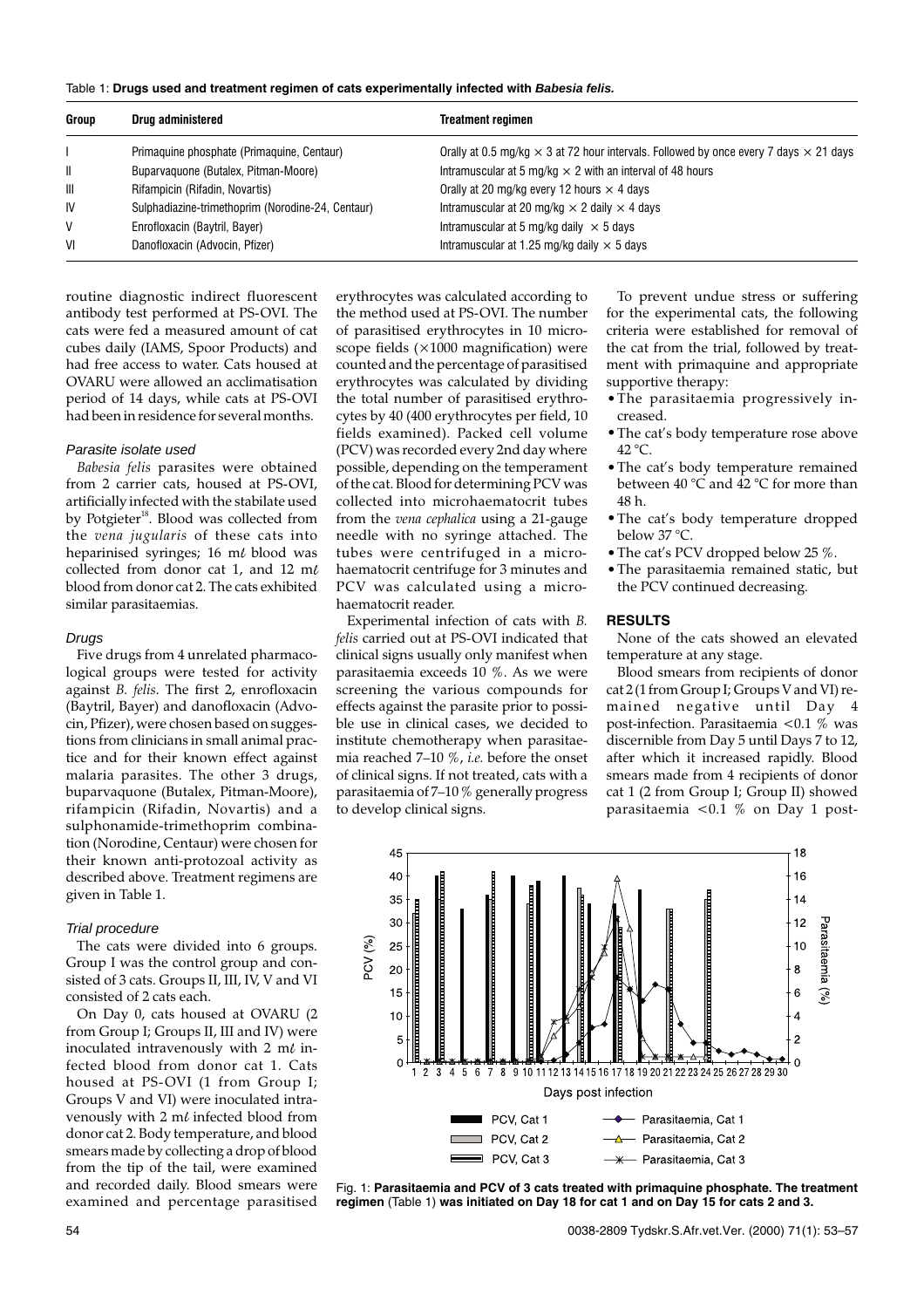|  |  | Table 1: Drugs used and treatment regimen of cats experimentally infected with Babesia felis. |  |
|--|--|-----------------------------------------------------------------------------------------------|--|
|  |  |                                                                                               |  |

| Group        | Drug administered                                 | <b>Treatment regimen</b>                                                                            |
|--------------|---------------------------------------------------|-----------------------------------------------------------------------------------------------------|
|              | Primaguine phosphate (Primaguine, Centaur)        | Orally at 0.5 mg/kg $\times$ 3 at 72 hour intervals. Followed by once every 7 days $\times$ 21 days |
| $\mathbf{I}$ | Buparvaguone (Butalex, Pitman-Moore)              | Intramuscular at 5 mg/kg $\times$ 2 with an interval of 48 hours                                    |
| $\mathbf{m}$ | Rifampicin (Rifadin, Novartis)                    | Orally at 20 mg/kg every 12 hours $\times$ 4 days                                                   |
| IV           | Sulphadiazine-trimethoprim (Norodine-24, Centaur) | Intramuscular at 20 mg/kg $\times$ 2 daily $\times$ 4 days                                          |
| V            | Enrofloxacin (Baytril, Bayer)                     | Intramuscular at 5 mg/kg daily $\times$ 5 days                                                      |
| VI           | Danofloxacin (Advocin, Pfizer)                    | Intramuscular at 1.25 mg/kg daily $\times$ 5 days                                                   |

routine diagnostic indirect fluorescent antibody test performed at PS-OVI. The cats were fed a measured amount of cat cubes daily (IAMS, Spoor Products) and had free access to water. Cats housed at OVARU were allowed an acclimatisation period of 14 days, while cats at PS-OVI had been in residence for several months.

#### Parasite isolate used

*Babesia felis* parasites were obtained from 2 carrier cats, housed at PS-OVI, artificially infected with the stabilate used by Potgieter<sup>18</sup>. Blood was collected from the *vena jugularis* of these cats into heparinised syringes; 16  $m\ell$  blood was collected from donor cat 1, and 12 ml blood from donor cat 2. The cats exhibited similar parasitaemias.

#### **Drugs**

Five drugs from 4 unrelated pharmacological groups were tested for activity against *B. felis*. The first 2, enrofloxacin (Baytril, Bayer) and danofloxacin (Advocin, Pfizer), were chosen based on suggestions from clinicians in small animal practice and for their known effect against malaria parasites. The other 3 drugs, buparvaquone (Butalex, Pitman-Moore), rifampicin (Rifadin, Novartis) and a sulphonamide-trimethoprim combination (Norodine, Centaur) were chosen for their known anti-protozoal activity as described above. Treatment regimens are given in Table 1.

#### Trial procedure

The cats were divided into 6 groups. Group I was the control group and consisted of 3 cats. Groups II, III, IV, V and VI consisted of 2 cats each.

On Day 0, cats housed at OVARU (2 from Group I; Groups II, III and IV) were inoculated intravenously with 2  $m\ell$  infected blood from donor cat 1. Cats housed at PS-OVI (1 from Group I; Groups V and VI) were inoculated intravenously with 2  $m\ell$  infected blood from donor cat 2. Body temperature, and blood smears made by collecting a drop of blood from the tip of the tail, were examined and recorded daily. Blood smears were examined and percentage parasitised

erythrocytes was calculated according to the method used at PS-OVI. The number of parasitised erythrocytes in 10 microscope fields (×1000 magnification) were counted and the percentage of parasitised erythrocytes was calculated by dividing the total number of parasitised erythrocytes by 40 (400 erythrocytes per field, 10 fields examined). Packed cell volume (PCV) was recorded every 2nd day where possible, depending on the temperament of the cat. Blood for determining PCV was collected into microhaematocrit tubes from the *vena cephalica* using a 21-gauge needle with no syringe attached. The tubes were centrifuged in a microhaematocrit centrifuge for 3 minutes and PCV was calculated using a microhaematocrit reader.

Experimental infection of cats with *B. felis* carried out at PS-OVI indicated that clinical signs usually only manifest when parasitaemia exceeds 10 %. As we were screening the various compounds for effects against the parasite prior to possible use in clinical cases, we decided to institute chemotherapy when parasitaemia reached 7–10 %, *i.e.* before the onset of clinical signs. If not treated, cats with a parasitaemia of 7–10 % generally progress to develop clinical signs.

To prevent undue stress or suffering for the experimental cats, the following criteria were established for removal of the cat from the trial, followed by treatment with primaquine and appropriate supportive therapy:

- •The parasitaemia progressively increased.
- •The cat's body temperature rose above 42 °C.
- •The cat's body temperature remained between  $40^{\circ}$ C and  $42^{\circ}$ C for more than 48 h.
- •The cat's body temperature dropped below 37 °C.
- The cat's PCV dropped below 25 %.
- •The parasitaemia remained static, but the PCV continued decreasing.

#### **RESULTS**

None of the cats showed an elevated temperature at any stage.

Blood smears from recipients of donor cat 2 (1 from Group I; Groups V and VI) remained negative until Day 4 post-infection. Parasitaemia <0.1 % was discernible from Day 5 until Days 7 to 12, after which it increased rapidly. Blood smears made from 4 recipients of donor cat 1 (2 from Group I; Group II) showed parasitaemia  $\lt 0.1$  % on Day 1 post-



Fig. 1: **Parasitaemia and PCV of 3 cats treated with primaquine phosphate. The treatment regimen** (Table 1) **was initiated on Day 18 for cat 1 and on Day 15 for cats 2 and 3.**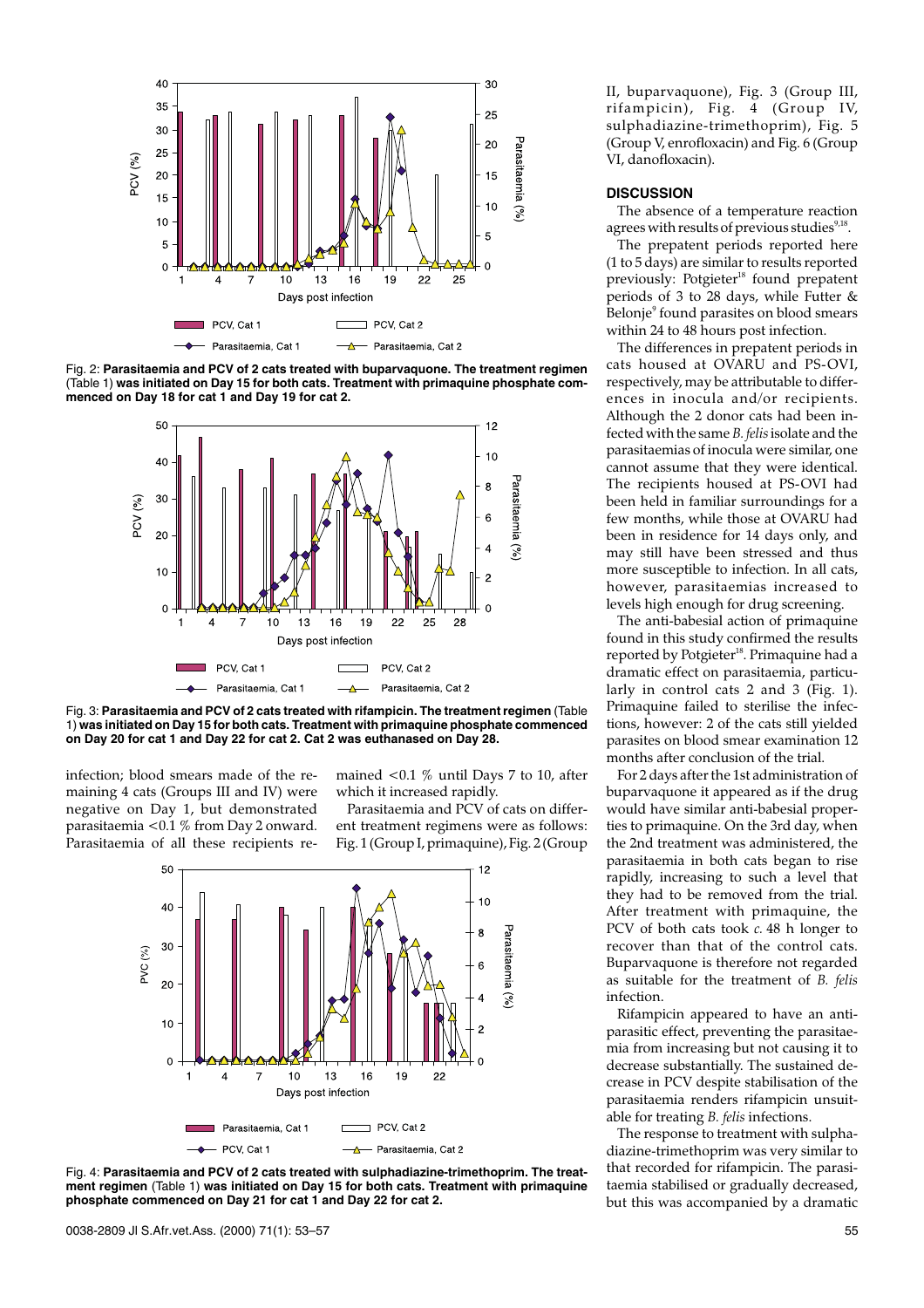

Fig. 2: **Parasitaemia and PCV of 2 cats treated with buparvaquone. The treatment regimen** (Table 1) **was initiated on Day 15 for both cats. Treatment with primaquine phosphate commenced on Day 18 for cat 1 and Day 19 for cat 2.**



Fig. 3: **Parasitaemia and PCV of 2 cats treated with rifampicin. The treatment regimen** (Table 1) **was initiated on Day 15 for both cats. Treatment with primaquine phosphate commenced on Day 20 for cat 1 and Day 22 for cat 2. Cat 2 was euthanased on Day 28.**

infection; blood smears made of the remaining 4 cats (Groups III and IV) were negative on Day 1, but demonstrated parasitaemia <0.1 % from Day 2 onward. Parasitaemia of all these recipients remained <0.1 % until Days 7 to 10, after which it increased rapidly.

Parasitaemia and PCV of cats on different treatment regimens were as follows: Fig. 1 (Group I, primaquine), Fig. 2 (Group





II, buparvaquone), Fig. 3 (Group III, rifampicin), Fig. 4 (Group IV, sulphadiazine-trimethoprim), Fig. 5 (Group V, enrofloxacin) and Fig. 6 (Group VI, danofloxacin).

### **DISCUSSION**

The absence of a temperature reaction agrees with results of previous studies $9,18$ .

The prepatent periods reported here (1 to 5 days) are similar to results reported previously: Potgieter<sup>18</sup> found prepatent periods of 3 to 28 days, while Futter & Belonje<sup>9</sup> found parasites on blood smears within 24 to 48 hours post infection.

The differences in prepatent periods in cats housed at OVARU and PS-OVI, respectively, may be attributable to differences in inocula and/or recipients. Although the 2 donor cats had been infected with the same *B. felis*isolate and the parasitaemias of inocula were similar, one cannot assume that they were identical. The recipients housed at PS-OVI had been held in familiar surroundings for a few months, while those at OVARU had been in residence for 14 days only, and may still have been stressed and thus more susceptible to infection. In all cats, however, parasitaemias increased to levels high enough for drug screening.

The anti-babesial action of primaquine found in this study confirmed the results reported by Potgieter<sup>18</sup>. Primaquine had a dramatic effect on parasitaemia, particularly in control cats 2 and 3 (Fig. 1). Primaquine failed to sterilise the infections, however: 2 of the cats still yielded parasites on blood smear examination 12 months after conclusion of the trial.

For 2 days after the 1st administration of buparvaquone it appeared as if the drug would have similar anti-babesial properties to primaquine. On the 3rd day, when the 2nd treatment was administered, the parasitaemia in both cats began to rise rapidly, increasing to such a level that they had to be removed from the trial. After treatment with primaquine, the PCV of both cats took *c.* 48 h longer to recover than that of the control cats. Buparvaquone is therefore not regarded as suitable for the treatment of *B. felis* infection.

Rifampicin appeared to have an antiparasitic effect, preventing the parasitaemia from increasing but not causing it to decrease substantially. The sustained decrease in PCV despite stabilisation of the parasitaemia renders rifampicin unsuitable for treating *B. felis* infections.

The response to treatment with sulphadiazine-trimethoprim was very similar to that recorded for rifampicin. The parasitaemia stabilised or gradually decreased, but this was accompanied by a dramatic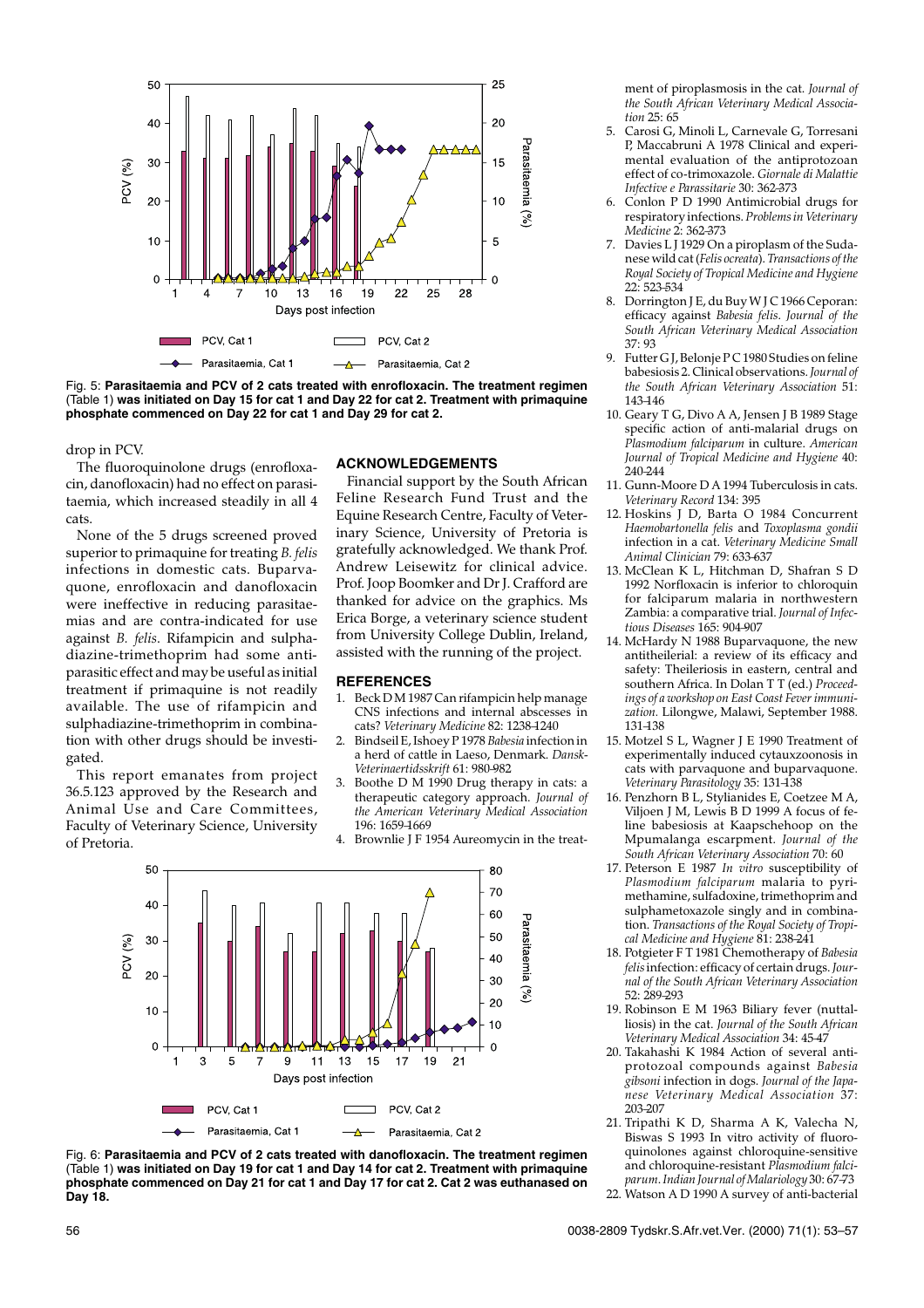

Fig. 5: **Parasitaemia and PCV of 2 cats treated with enrofloxacin. The treatment regimen** (Table 1) **was initiated on Day 15 for cat 1 and Day 22 for cat 2. Treatment with primaquine phosphate commenced on Day 22 for cat 1 and Day 29 for cat 2.**

drop in PCV.

The fluoroquinolone drugs (enrofloxacin, danofloxacin) had no effect on parasitaemia, which increased steadily in all 4 cats.

None of the 5 drugs screened proved superior to primaquine for treating *B. felis* infections in domestic cats. Buparvaquone, enrofloxacin and danofloxacin were ineffective in reducing parasitaemias and are contra-indicated for use against *B. felis*. Rifampicin and sulphadiazine-trimethoprim had some antiparasitic effect and may be useful as initial treatment if primaquine is not readily available. The use of rifampicin and sulphadiazine-trimethoprim in combination with other drugs should be investigated.

This report emanates from project 36.5.123 approved by the Research and Animal Use and Care Committees, Faculty of Veterinary Science, University of Pretoria.

#### **ACKNOWLEDGEMENTS**

Financial support by the South African Feline Research Fund Trust and the Equine Research Centre, Faculty of Veterinary Science, University of Pretoria is gratefully acknowledged. We thank Prof. Andrew Leisewitz for clinical advice. Prof. Joop Boomker and Dr J. Crafford are thanked for advice on the graphics. Ms Erica Borge, a veterinary science student from University College Dublin, Ireland, assisted with the running of the project.

#### **REFERENCES**

- 1. Beck D M 1987 Can rifampicin help manage CNS infections and internal abscesses in cats? *Veterinary Medicine* 82: 1238–1240
- 2. Bindseil E, Ishoey P 1978 *Babesia* infection in a herd of cattle in Laeso, Denmark. *Dansk-Veterinaertidsskrift* 61: 980–982
- 3. Boothe D M 1990 Drug therapy in cats: a therapeutic category approach. *Journal of the American Veterinary Medical Association* 196: 1659–1669
- 4. Brownlie J F 1954 Aureomycin in the treat-





ment of piroplasmosis in the cat. *Journal of the South African Veterinary Medical Association* 25: 65

- 5. Carosi G, Minoli L, Carnevale G, Torresani P, Maccabruni A 1978 Clinical and experimental evaluation of the antiprotozoan effect of co-trimoxazole. *Giornale di Malattie Infective e Parassitarie* 30: 362–373
- 6. Conlon P D 1990 Antimicrobial drugs for respiratory infections. *Problems in Veterinary Medicine* 2: 362–373
- 7. Davies L J 1929 On a piroplasm of the Sudanese wild cat (*Felis ocreata*). *Transactions of the Royal Society of Tropical Medicine and Hygiene* 22: 523–534
- 8. Dorrington J E, du Buy W J C 1966 Ceporan: efficacy against *Babesia felis*. *Journal of the South African Veterinary Medical Association* 37: 93
- 9. Futter G J, Belonje P C 1980 Studies on feline babesiosis 2. Clinical observations.*Journal of the South African Veterinary Association* 51: 143–146
- 10. Geary T G, Divo A A, Jensen J B 1989 Stage specific action of anti-malarial drugs on *Plasmodium falciparum* in culture. *American Journal of Tropical Medicine and Hygiene* 40:  $240 - 244$
- 11. Gunn-Moore D A 1994 Tuberculosis in cats. *Veterinary Record* 134: 395
- 12. Hoskins J D, Barta O 1984 Concurrent *Haemobartonella felis* and *Toxoplasma gondii* infection in a cat. *Veterinary Medicine Small Animal Clinician* 79: 633–637
- 13. McClean K L, Hitchman D, Shafran S D 1992 Norfloxacin is inferior to chloroquin for falciparum malaria in northwestern Zambia: a comparative trial. *Journal of Infectious Diseases* 165: 904–907
- 14. McHardy N 1988 Buparvaquone, the new antitheilerial: a review of its efficacy and safety: Theileriosis in eastern, central and southern Africa. In Dolan T T (ed.) *Proceedings of a workshop on East Coast Fever immunization.* Lilongwe, Malawi, September 1988. 131–138
- 15. Motzel S L, Wagner J E 1990 Treatment of experimentally induced cytauxzoonosis in cats with parvaquone and buparvaquone. *Veterinary Parasitology* 35: 131–138
- 16. Penzhorn B L, Stylianides E, Coetzee M A, Viljoen J M, Lewis B D 1999 A focus of feline babesiosis at Kaapschehoop on the Mpumalanga escarpment. *Journal of the South African Veterinary Association* 70: 60
- 17. Peterson E 1987 *In vitro* susceptibility of *Plasmodium falciparum* malaria to pyrimethamine, sulfadoxine, trimethoprim and sulphametoxazole singly and in combination. *Transactions of the Royal Society of Tropical Medicine and Hygiene* 81: 238–241
- 18. Potgieter F T 1981 Chemotherapy of *Babesia felis*infection: efficacy of certain drugs.*Journal of the South African Veterinary Association* 52: 289–293
- 19. Robinson E M 1963 Biliary fever (nuttalliosis) in the cat. *Journal of the South African Veterinary Medical Association* 34: 45–47
- 20. Takahashi K 1984 Action of several antiprotozoal compounds against *Babesia gibsoni* infection in dogs. *Journal of the Japanese Veterinary Medical Association* 37: 203–207
- 21. Tripathi K D, Sharma A K, Valecha N, Biswas S 1993 In vitro activity of fluoroquinolones against chloroquine-sensitive and chloroquine-resistant *Plasmodium falciparum*.*Indian Journal of Malariology* 30: 67–73
- 22. Watson A D 1990 A survey of anti-bacterial